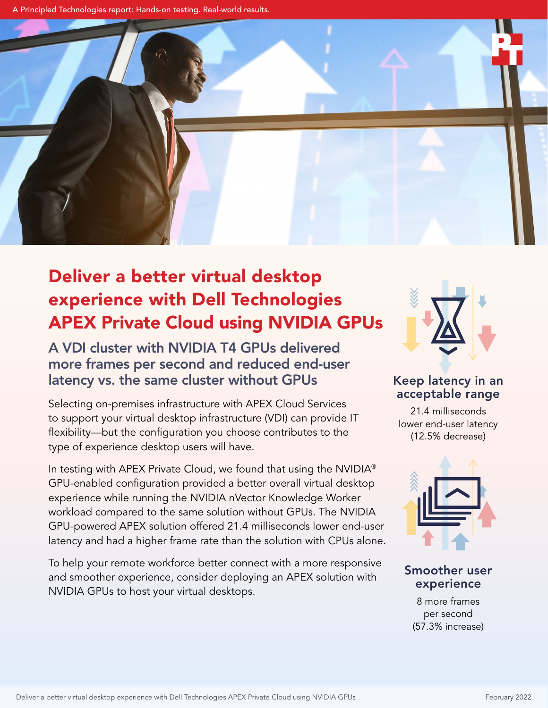A Principled Technologies report: Hands-on testing. Real-world results.



# Deliver a better virtual desktop experience with Dell Technologies APEX Private Cloud using NVIDIA GPUs

A VDI cluster with NVIDIA T4 GPUs delivered more frames per second and reduced end-user latency vs. the same cluster without GPUs

Selecting on-premises infrastructure with APEX Cloud Services to support your virtual desktop infrastructure (VDI) can provide IT flexibility—but the configuration you choose contributes to the type of experience desktop users will have.

In testing with APEX Private Cloud, we found that using the NVIDIA® GPU-enabled configuration provided a better overall virtual desktop experience while running the NVIDIA nVector Knowledge Worker workload compared to the same solution without GPUs. The NVIDIA GPU-powered APEX solution offered 21.4 milliseconds lower end-user latency and had a higher frame rate than the solution with CPUs alone.

To help your remote workforce better connect with a more responsive and smoother experience, consider deploying an APEX solution with NVIDIA GPUs to host your virtual desktops.



## Keep latency in an acceptable range

21.4 milliseconds lower end-user latency (12.5% decrease)



## Smoother user experience

8 more frames per second (57.3% increase)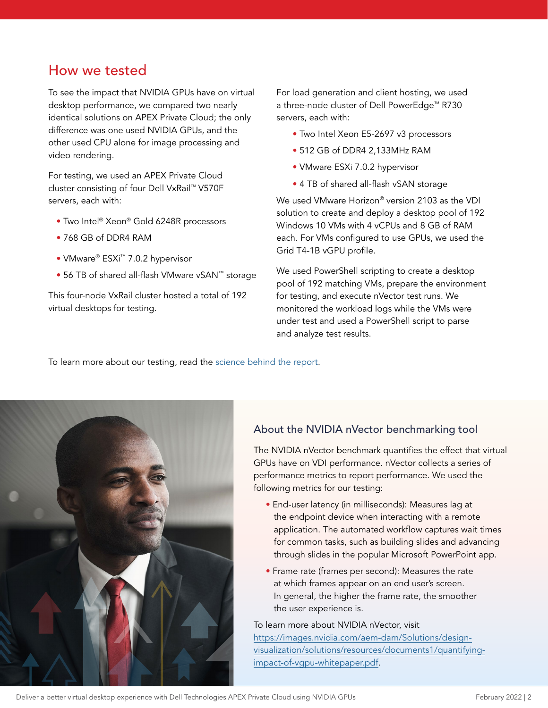# How we tested

To see the impact that NVIDIA GPUs have on virtual desktop performance, we compared two nearly identical solutions on APEX Private Cloud; the only difference was one used NVIDIA GPUs, and the other used CPU alone for image processing and video rendering.

For testing, we used an APEX Private Cloud cluster consisting of four Dell VxRail™ V570F servers, each with:

- Two Intel® Xeon® Gold 6248R processors
- 768 GB of DDR4 RAM
- VMware® ESXi™ 7.0.2 hypervisor
- 56 TB of shared all-flash VMware vSAN™ storage

This four-node VxRail cluster hosted a total of 192 virtual desktops for testing.

For load generation and client hosting, we used a three-node cluster of Dell PowerEdge™ R730 servers, each with:

- Two Intel Xeon E5-2697 v3 processors
- 512 GB of DDR4 2,133MHz RAM
- VMware ESXi 7.0.2 hypervisor
- 4 TB of shared all-flash vSAN storage

We used VMware Horizon® version 2103 as the VDI solution to create and deploy a desktop pool of 192 Windows 10 VMs with 4 vCPUs and 8 GB of RAM each. For VMs configured to use GPUs, we used the Grid T4-1B vGPU profile.

We used PowerShell scripting to create a desktop pool of 192 matching VMs, prepare the environment for testing, and execute nVector test runs. We monitored the workload logs while the VMs were under test and used a PowerShell script to parse and analyze test results.

To learn more about our testing, read the [science behind the report](https://facts.pt/jeKVX9n).



#### About the NVIDIA nVector benchmarking tool

The NVIDIA nVector benchmark quantifies the effect that virtual GPUs have on VDI performance. nVector collects a series of performance metrics to report performance. We used the following metrics for our testing:

- End-user latency (in milliseconds): Measures lag at the endpoint device when interacting with a remote application. The automated workflow captures wait times for common tasks, such as building slides and advancing through slides in the popular Microsoft PowerPoint app.
- Frame rate (frames per second): Measures the rate at which frames appear on an end user's screen. In general, the higher the frame rate, the smoother the user experience is.

To learn more about NVIDIA nVector, visit [https://images.nvidia.com/aem-dam/Solutions/design](https://images.nvidia.com/aem-dam/Solutions/design-visualization/solutions/resources/documents1/quantifying-impact-of-vgpu-whitepaper.pdf)[visualization/solutions/resources/documents1/quantifying](https://images.nvidia.com/aem-dam/Solutions/design-visualization/solutions/resources/documents1/quantifying-impact-of-vgpu-whitepaper.pdf)[impact-of-vgpu-whitepaper.pdf.](https://images.nvidia.com/aem-dam/Solutions/design-visualization/solutions/resources/documents1/quantifying-impact-of-vgpu-whitepaper.pdf)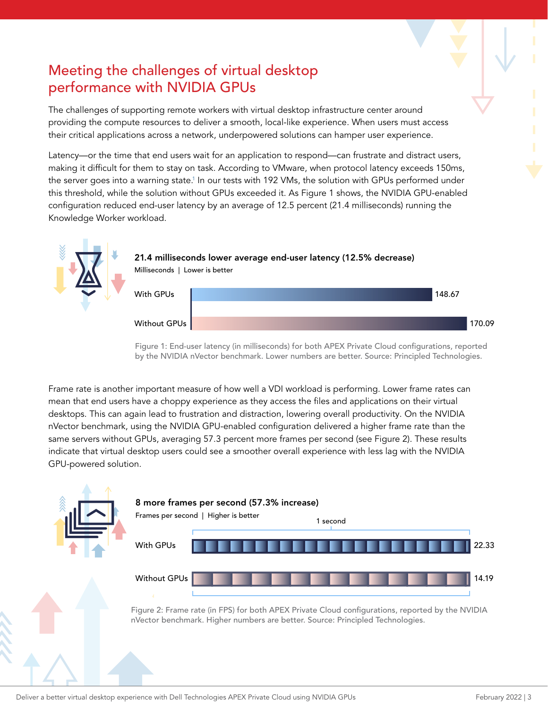# Meeting the challenges of virtual desktop performance with NVIDIA GPUs

The challenges of supporting remote workers with virtual desktop infrastructure center around providing the compute resources to deliver a smooth, local-like experience. When users must access their critical applications across a network, underpowered solutions can hamper user experience.

Latency—or the time that end users wait for an application to respond—can frustrate and distract users, making it difficult for them to stay on task. According to VMware, when protocol latency exceeds 150ms, the server goes into a warning state.<sup>1</sup> In our tests with 192 VMs, the solution with GPUs performed under this threshold, while the solution without GPUs exceeded it. As Figure 1 shows, the NVIDIA GPU-enabled configuration reduced end-user latency by an average of 12.5 percent (21.4 milliseconds) running the Knowledge Worker workload.



Figure 1: End-user latency (in milliseconds) for both APEX Private Cloud configurations, reported by the NVIDIA nVector benchmark. Lower numbers are better. Source: Principled Technologies.

Frame rate is another important measure of how well a VDI workload is performing. Lower frame rates can mean that end users have a choppy experience as they access the files and applications on their virtual desktops. This can again lead to frustration and distraction, lowering overall productivity. On the NVIDIA nVector benchmark, using the NVIDIA GPU-enabled configuration delivered a higher frame rate than the same servers without GPUs, averaging 57.3 percent more frames per second (see Figure 2). These results indicate that virtual desktop users could see a smoother overall experience with less lag with the NVIDIA GPU-powered solution.